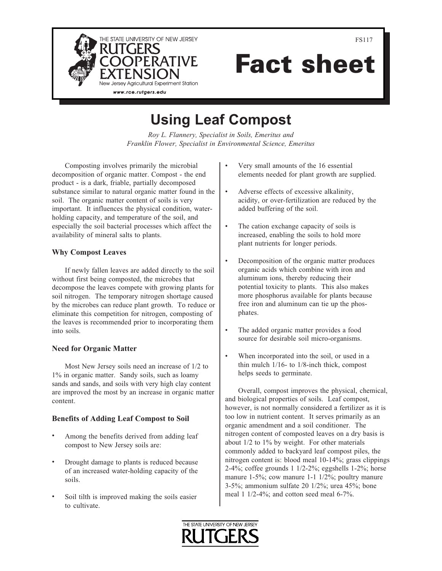

Fact sheet

# Using Leaf Compost

Roy L. Flannery, Specialist in Soils, Emeritus and Franklin Flower, Specialist in Environmental Science, Emeritus

Composting involves primarily the microbial decomposition of organic matter. Compost - the end product - is a dark, friable, partially decomposed substance similar to natural organic matter found in the soil. The organic matter content of soils is very important. It influences the physical condition, waterholding capacity, and temperature of the soil, and especially the soil bacterial processes which affect the availability of mineral salts to plants.

## Why Compost Leaves

If newly fallen leaves are added directly to the soil without first being composted, the microbes that decompose the leaves compete with growing plants for soil nitrogen. The temporary nitrogen shortage caused by the microbes can reduce plant growth. To reduce or eliminate this competition for nitrogen, composting of the leaves is recommended prior to incorporating them into soils.

## Need for Organic Matter

Most New Jersey soils need an increase of 1/2 to 1% in organic matter. Sandy soils, such as loamy sands and sands, and soils with very high clay content are improved the most by an increase in organic matter content.

## Benefits of Adding Leaf Compost to Soil

- Among the benefits derived from adding leaf compost to New Jersey soils are:
- Drought damage to plants is reduced because of an increased water-holding capacity of the soils.
- Soil tilth is improved making the soils easier to cultivate.
- Very small amounts of the 16 essential elements needed for plant growth are supplied.
- Adverse effects of excessive alkalinity, acidity, or over-fertilization are reduced by the added buffering of the soil.
- The cation exchange capacity of soils is increased, enabling the soils to hold more plant nutrients for longer periods.
- Decomposition of the organic matter produces organic acids which combine with iron and aluminum ions, thereby reducing their potential toxicity to plants. This also makes more phosphorus available for plants because free iron and aluminum can tie up the phosphates.
- The added organic matter provides a food source for desirable soil micro-organisms.
- When incorporated into the soil, or used in a thin mulch 1/16- to 1/8-inch thick, compost helps seeds to germinate.

Overall, compost improves the physical, chemical, and biological properties of soils. Leaf compost, however, is not normally considered a fertilizer as it is too low in nutrient content. It serves primarily as an organic amendment and a soil conditioner. The nitrogen content of composted leaves on a dry basis is about 1/2 to 1% by weight. For other materials commonly added to backyard leaf compost piles, the nitrogen content is: blood meal 10-14%; grass clippings 2-4%; coffee grounds 1 1/2-2%; eggshells 1-2%; horse manure 1-5%; cow manure 1-1 1/2%; poultry manure 3-5%; ammonium sulfate 20 1/2%; urea 45%; bone meal 1 1/2-4%; and cotton seed meal 6-7%.